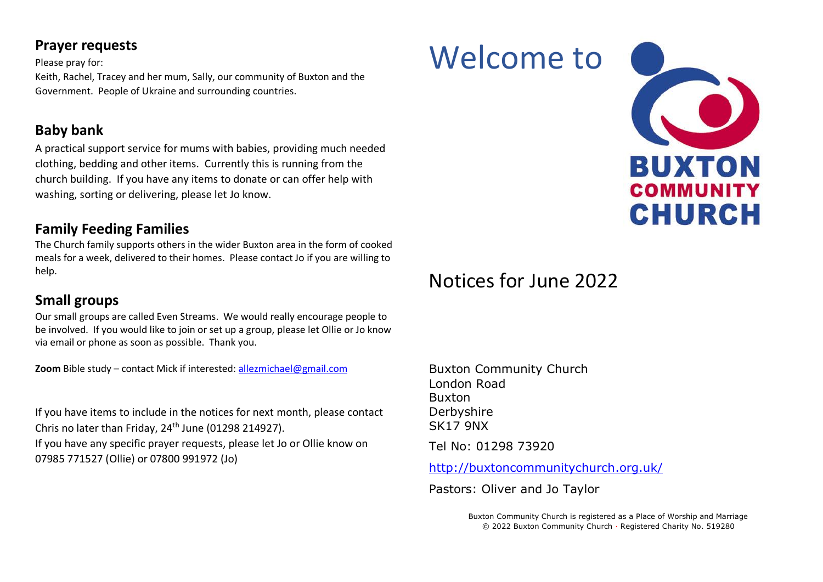### **Prayer requests**

Please pray for: Keith, Rachel, Tracey and her mum, Sally, our community of Buxton and the Government. People of Ukraine and surrounding countries.

## **Baby bank**

A practical support service for mums with babies, providing much needed clothing, bedding and other items. Currently this is running from the church building. If you have any items to donate or can offer help with washing, sorting or delivering, please let Jo know.

## **Family Feeding Families**

The Church family supports others in the wider Buxton area in the form of cooked meals for a week, delivered to their homes. Please contact Jo if you are willing to help.

## **Small groups**

Our small groups are called Even Streams. We would really encourage people to be involved. If you would like to join or set up a group, please let Ollie or Jo know via email or phone as soon as possible. Thank you.

**Zoom** Bible study – contact Mick if interested: [allezmichael@gmail.com](mailto:allezmichael@gmail.com)

If you have items to include in the notices for next month, please contact Chris no later than Friday, 24<sup>th</sup> June (01298 214927). If you have any specific prayer requests, please let Jo or Ollie know on 07985 771527 (Ollie) or 07800 991972 (Jo)

# Notices for June 2022

Welcome to

Buxton Community Church London Road Buxton Derbyshire SK17 9NX Tel No: 01298 73920

<http://buxtoncommunitychurch.org.uk/>

Pastors: Oliver and Jo Taylor

Buxton Community Church is registered as a Place of Worship and Marriage © 2022 Buxton Community Church · Registered Charity No. 519280